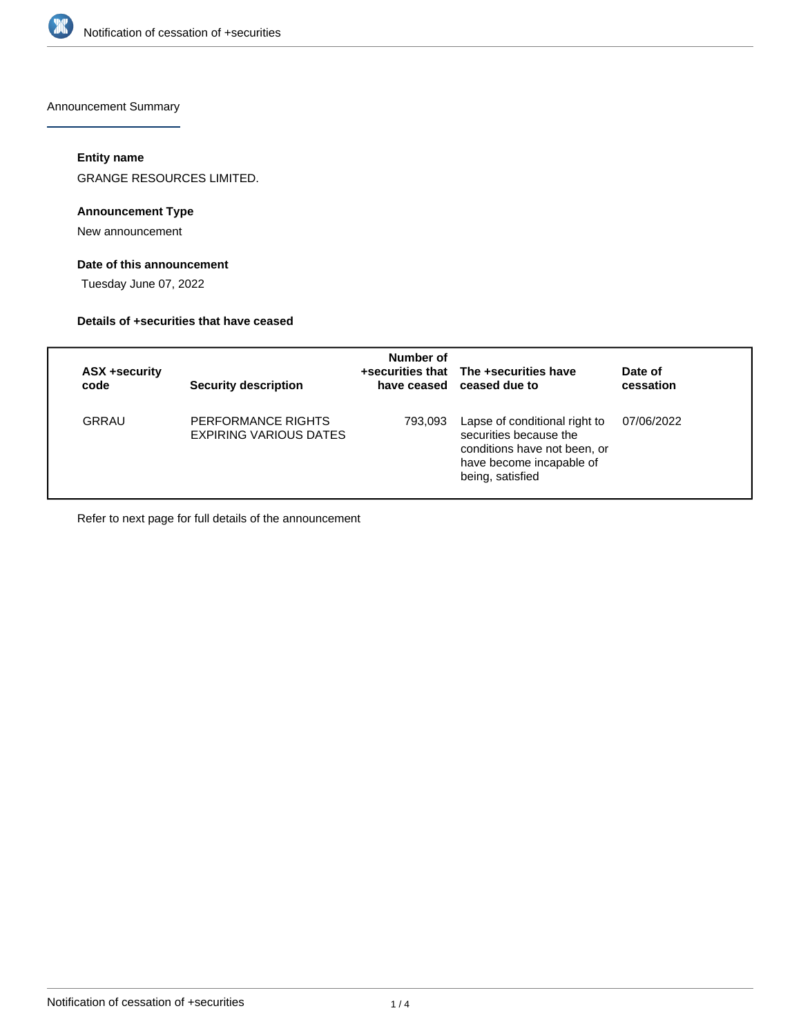

Announcement Summary

# **Entity name**

GRANGE RESOURCES LIMITED.

# **Announcement Type**

New announcement

# **Date of this announcement**

Tuesday June 07, 2022

### **Details of +securities that have ceased**

| ASX +security<br>code | <b>Security description</b>                  | Number of | +securities that The +securities have<br>have ceased ceased due to                                                                      | Date of<br>cessation |
|-----------------------|----------------------------------------------|-----------|-----------------------------------------------------------------------------------------------------------------------------------------|----------------------|
| GRRAU                 | PERFORMANCE RIGHTS<br>EXPIRING VARIOUS DATES | 793,093   | Lapse of conditional right to<br>securities because the<br>conditions have not been, or<br>have become incapable of<br>being, satisfied | 07/06/2022           |

Refer to next page for full details of the announcement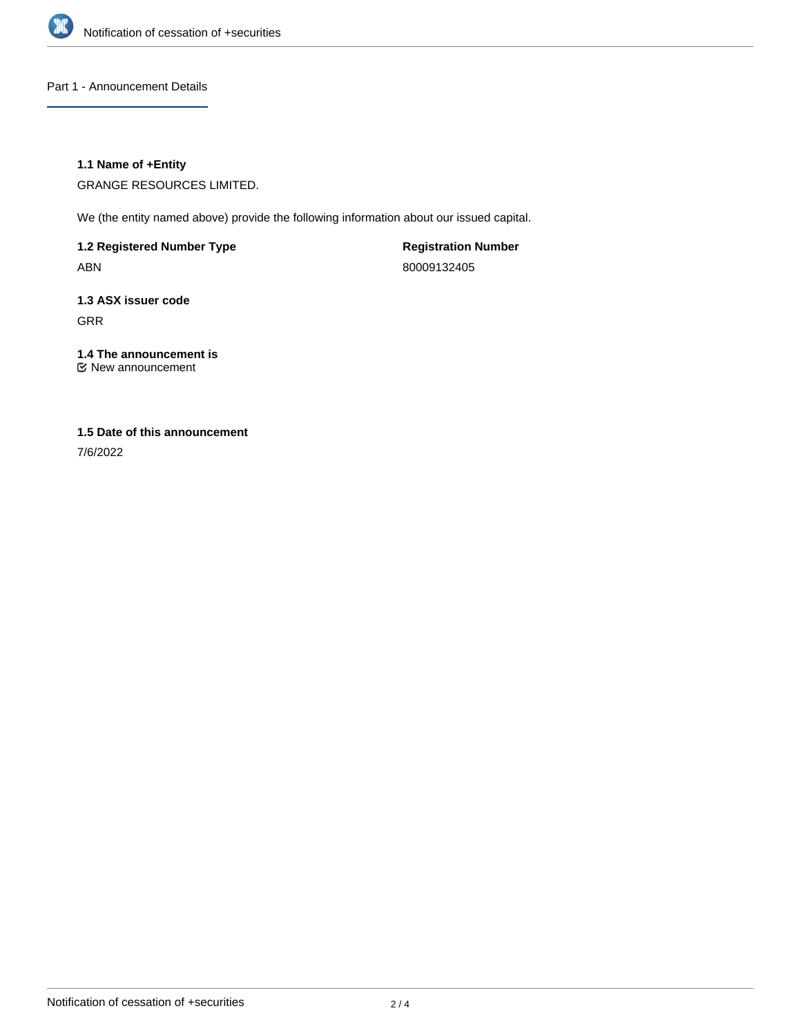

Part 1 - Announcement Details

# **1.1 Name of +Entity**

GRANGE RESOURCES LIMITED.

We (the entity named above) provide the following information about our issued capital.

**1.2 Registered Number Type** ABN

**Registration Number** 80009132405

**1.3 ASX issuer code** GRR

**1.4 The announcement is** New announcement

# **1.5 Date of this announcement**

7/6/2022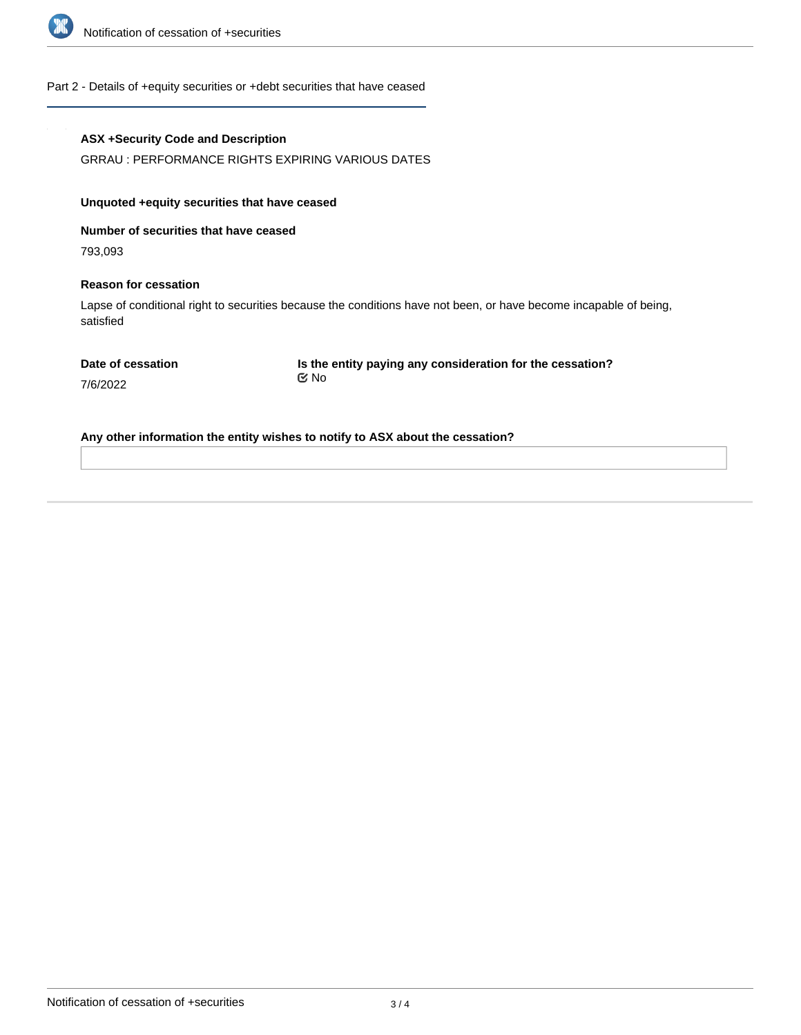

Part 2 - Details of +equity securities or +debt securities that have ceased

### **ASX +Security Code and Description**

GRRAU : PERFORMANCE RIGHTS EXPIRING VARIOUS DATES

### **Unquoted +equity securities that have ceased**

**Number of securities that have ceased**

793,093

### **Reason for cessation**

Lapse of conditional right to securities because the conditions have not been, or have become incapable of being, satisfied

**Date of cessation**

**Is the entity paying any consideration for the cessation?** No

7/6/2022

**Any other information the entity wishes to notify to ASX about the cessation?**